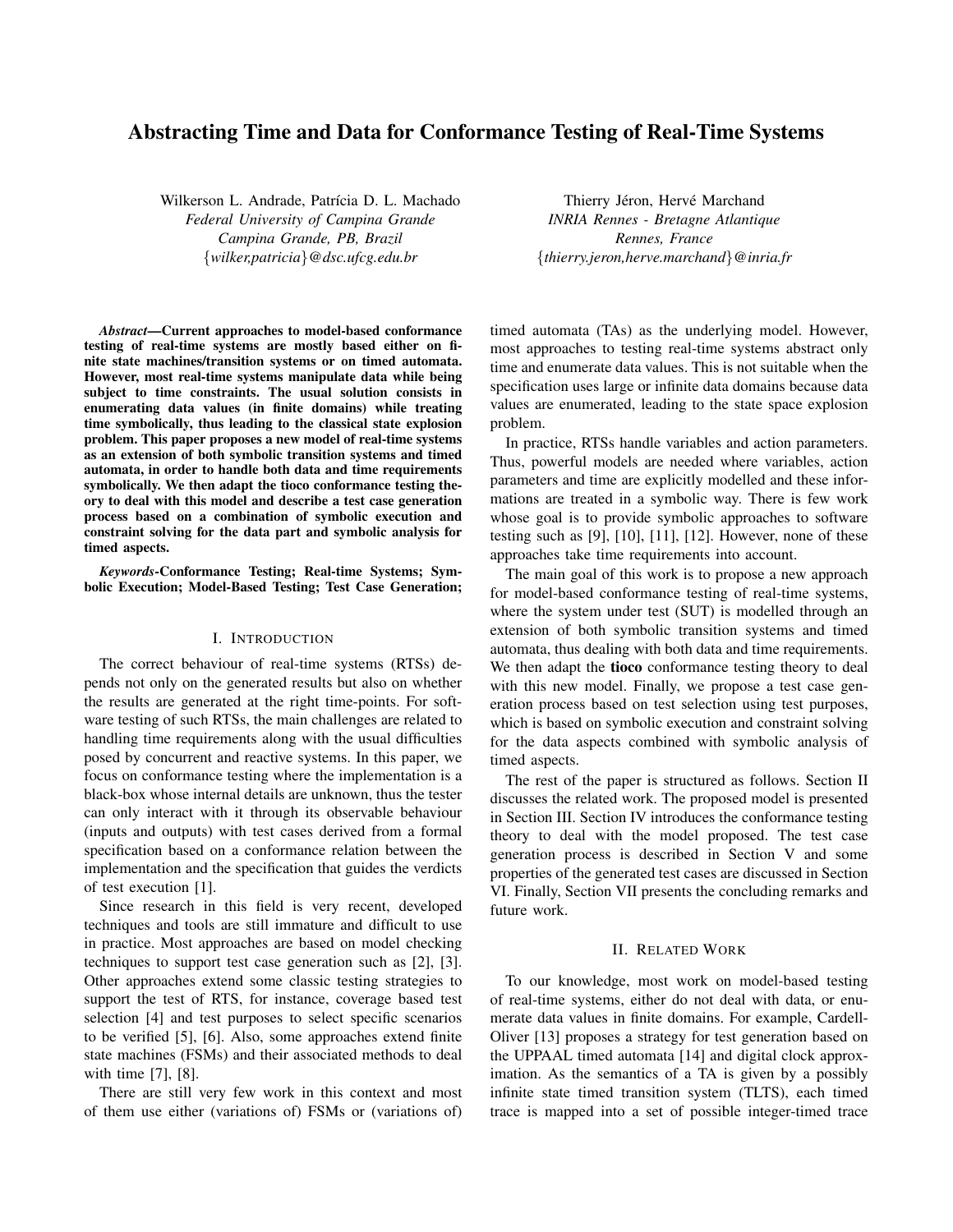# Abstracting Time and Data for Conformance Testing of Real-Time Systems

Wilkerson L. Andrade, Patrícia D. L. Machado *Federal University of Campina Grande Campina Grande, PB, Brazil* {*wilker,patricia*}*@dsc.ufcg.edu.br*

*Abstract*—Current approaches to model-based conformance testing of real-time systems are mostly based either on finite state machines/transition systems or on timed automata. However, most real-time systems manipulate data while being subject to time constraints. The usual solution consists in enumerating data values (in finite domains) while treating time symbolically, thus leading to the classical state explosion problem. This paper proposes a new model of real-time systems as an extension of both symbolic transition systems and timed automata, in order to handle both data and time requirements symbolically. We then adapt the tioco conformance testing theory to deal with this model and describe a test case generation process based on a combination of symbolic execution and constraint solving for the data part and symbolic analysis for timed aspects.

*Keywords*-Conformance Testing; Real-time Systems; Symbolic Execution; Model-Based Testing; Test Case Generation;

### I. INTRODUCTION

The correct behaviour of real-time systems (RTSs) depends not only on the generated results but also on whether the results are generated at the right time-points. For software testing of such RTSs, the main challenges are related to handling time requirements along with the usual difficulties posed by concurrent and reactive systems. In this paper, we focus on conformance testing where the implementation is a black-box whose internal details are unknown, thus the tester can only interact with it through its observable behaviour (inputs and outputs) with test cases derived from a formal specification based on a conformance relation between the implementation and the specification that guides the verdicts of test execution [1].

Since research in this field is very recent, developed techniques and tools are still immature and difficult to use in practice. Most approaches are based on model checking techniques to support test case generation such as [2], [3]. Other approaches extend some classic testing strategies to support the test of RTS, for instance, coverage based test selection [4] and test purposes to select specific scenarios to be verified [5], [6]. Also, some approaches extend finite state machines (FSMs) and their associated methods to deal with time [7], [8].

There are still very few work in this context and most of them use either (variations of) FSMs or (variations of)

Thierry Jéron, Hervé Marchand *INRIA Rennes - Bretagne Atlantique Rennes, France* {*thierry.jeron,herve.marchand*}*@inria.fr*

timed automata (TAs) as the underlying model. However, most approaches to testing real-time systems abstract only time and enumerate data values. This is not suitable when the specification uses large or infinite data domains because data values are enumerated, leading to the state space explosion problem.

In practice, RTSs handle variables and action parameters. Thus, powerful models are needed where variables, action parameters and time are explicitly modelled and these informations are treated in a symbolic way. There is few work whose goal is to provide symbolic approaches to software testing such as [9], [10], [11], [12]. However, none of these approaches take time requirements into account.

The main goal of this work is to propose a new approach for model-based conformance testing of real-time systems, where the system under test (SUT) is modelled through an extension of both symbolic transition systems and timed automata, thus dealing with both data and time requirements. We then adapt the tioco conformance testing theory to deal with this new model. Finally, we propose a test case generation process based on test selection using test purposes, which is based on symbolic execution and constraint solving for the data aspects combined with symbolic analysis of timed aspects.

The rest of the paper is structured as follows. Section II discusses the related work. The proposed model is presented in Section III. Section IV introduces the conformance testing theory to deal with the model proposed. The test case generation process is described in Section V and some properties of the generated test cases are discussed in Section VI. Finally, Section VII presents the concluding remarks and future work.

## II. RELATED WORK

To our knowledge, most work on model-based testing of real-time systems, either do not deal with data, or enumerate data values in finite domains. For example, Cardell-Oliver [13] proposes a strategy for test generation based on the UPPAAL timed automata [14] and digital clock approximation. As the semantics of a TA is given by a possibly infinite state timed transition system (TLTS), each timed trace is mapped into a set of possible integer-timed trace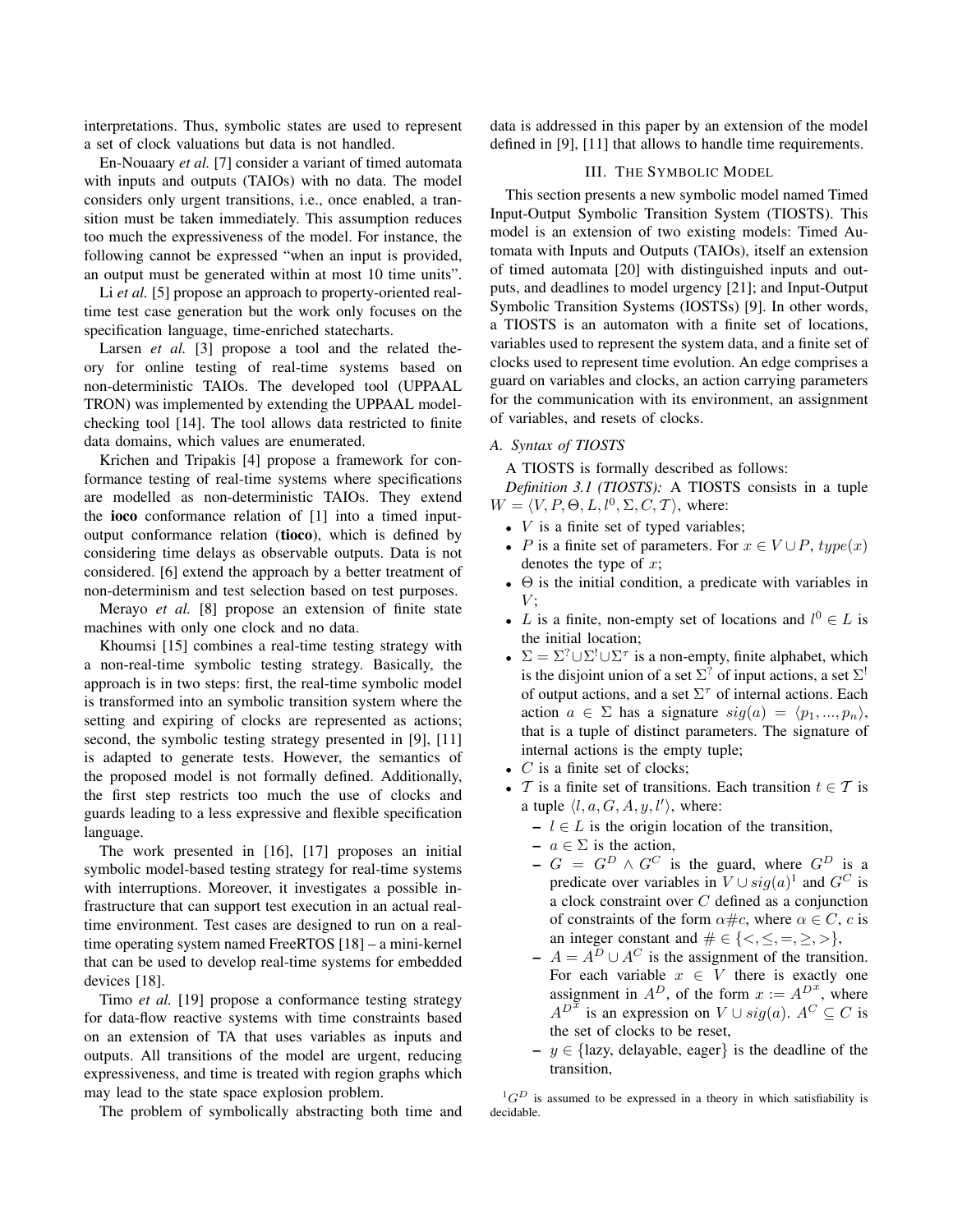interpretations. Thus, symbolic states are used to represent a set of clock valuations but data is not handled.

En-Nouaary *et al.* [7] consider a variant of timed automata with inputs and outputs (TAIOs) with no data. The model considers only urgent transitions, i.e., once enabled, a transition must be taken immediately. This assumption reduces too much the expressiveness of the model. For instance, the following cannot be expressed "when an input is provided, an output must be generated within at most 10 time units".

Li *et al.* [5] propose an approach to property-oriented realtime test case generation but the work only focuses on the specification language, time-enriched statecharts.

Larsen *et al.* [3] propose a tool and the related theory for online testing of real-time systems based on non-deterministic TAIOs. The developed tool (UPPAAL TRON) was implemented by extending the UPPAAL modelchecking tool [14]. The tool allows data restricted to finite data domains, which values are enumerated.

Krichen and Tripakis [4] propose a framework for conformance testing of real-time systems where specifications are modelled as non-deterministic TAIOs. They extend the ioco conformance relation of [1] into a timed inputoutput conformance relation (tioco), which is defined by considering time delays as observable outputs. Data is not considered. [6] extend the approach by a better treatment of non-determinism and test selection based on test purposes.

Merayo *et al.* [8] propose an extension of finite state machines with only one clock and no data.

Khoumsi [15] combines a real-time testing strategy with a non-real-time symbolic testing strategy. Basically, the approach is in two steps: first, the real-time symbolic model is transformed into an symbolic transition system where the setting and expiring of clocks are represented as actions; second, the symbolic testing strategy presented in [9], [11] is adapted to generate tests. However, the semantics of the proposed model is not formally defined. Additionally, the first step restricts too much the use of clocks and guards leading to a less expressive and flexible specification language.

The work presented in [16], [17] proposes an initial symbolic model-based testing strategy for real-time systems with interruptions. Moreover, it investigates a possible infrastructure that can support test execution in an actual realtime environment. Test cases are designed to run on a realtime operating system named FreeRTOS [18] – a mini-kernel that can be used to develop real-time systems for embedded devices [18].

Timo *et al.* [19] propose a conformance testing strategy for data-flow reactive systems with time constraints based on an extension of TA that uses variables as inputs and outputs. All transitions of the model are urgent, reducing expressiveness, and time is treated with region graphs which may lead to the state space explosion problem.

The problem of symbolically abstracting both time and

data is addressed in this paper by an extension of the model defined in [9], [11] that allows to handle time requirements.

## III. THE SYMBOLIC MODEL

This section presents a new symbolic model named Timed Input-Output Symbolic Transition System (TIOSTS). This model is an extension of two existing models: Timed Automata with Inputs and Outputs (TAIOs), itself an extension of timed automata [20] with distinguished inputs and outputs, and deadlines to model urgency [21]; and Input-Output Symbolic Transition Systems (IOSTSs) [9]. In other words, a TIOSTS is an automaton with a finite set of locations, variables used to represent the system data, and a finite set of clocks used to represent time evolution. An edge comprises a guard on variables and clocks, an action carrying parameters for the communication with its environment, an assignment of variables, and resets of clocks.

## *A. Syntax of TIOSTS*

A TIOSTS is formally described as follows:

*Definition 3.1 (TIOSTS):* A TIOSTS consists in a tuple  $W = \langle V, P, \Theta, L, l^0, \Sigma, C, T \rangle$ , where:

- $V$  is a finite set of typed variables;
- P is a finite set of parameters. For  $x \in V \cup P$ ,  $type(x)$ denotes the type of  $x$ ;
- Θ is the initial condition, a predicate with variables in  $V:$
- L is a finite, non-empty set of locations and  $l^0 \in L$  is the initial location;
- $\Sigma = \Sigma^? \cup \Sigma^! \cup \Sigma^{\tau}$  is a non-empty, finite alphabet, which is the disjoint union of a set  $\Sigma^?$  of input actions, a set  $\Sigma^!$ of output actions, and a set  $\Sigma^{\tau}$  of internal actions. Each action  $a \in \Sigma$  has a signature  $sig(a) = \langle p_1, ..., p_n \rangle$ , that is a tuple of distinct parameters. The signature of internal actions is the empty tuple;
- $C$  is a finite set of clocks;
- T is a finite set of transitions. Each transition  $t \in T$  is a tuple  $\langle l, a, G, A, y, l' \rangle$ , where:
	- $l \in L$  is the origin location of the transition,
	- $-a \in \Sigma$  is the action,
	- $G = G^D \wedge G^C$  is the guard, where  $G^D$  is a predicate over variables in  $V \cup sig(a)^1$  and  $G^C$  is a clock constraint over  $C$  defined as a conjunction of constraints of the form  $\alpha \# c$ , where  $\alpha \in C$ , c is an integer constant and  $\# \in \{ \langle \leq, \leq, =, \geq, \geq \}$ ,
	- $A = A^D \cup A^C$  is the assignment of the transition. For each variable  $x \in V$  there is exactly one assignment in  $A^D$ , of the form  $x := A^{D^x}$ , where  $A^{D^{\mathcal{X}}}$  is an expression on  $V \cup sig(a)$ .  $A^{C} \subseteq C$  is the set of clocks to be reset,
	- $y \in \{\text{lazy}, \text{delayable}, \text{eager}\}\$ is the deadline of the transition,

 ${}^{1}G^{D}$  is assumed to be expressed in a theory in which satisfiability is decidable.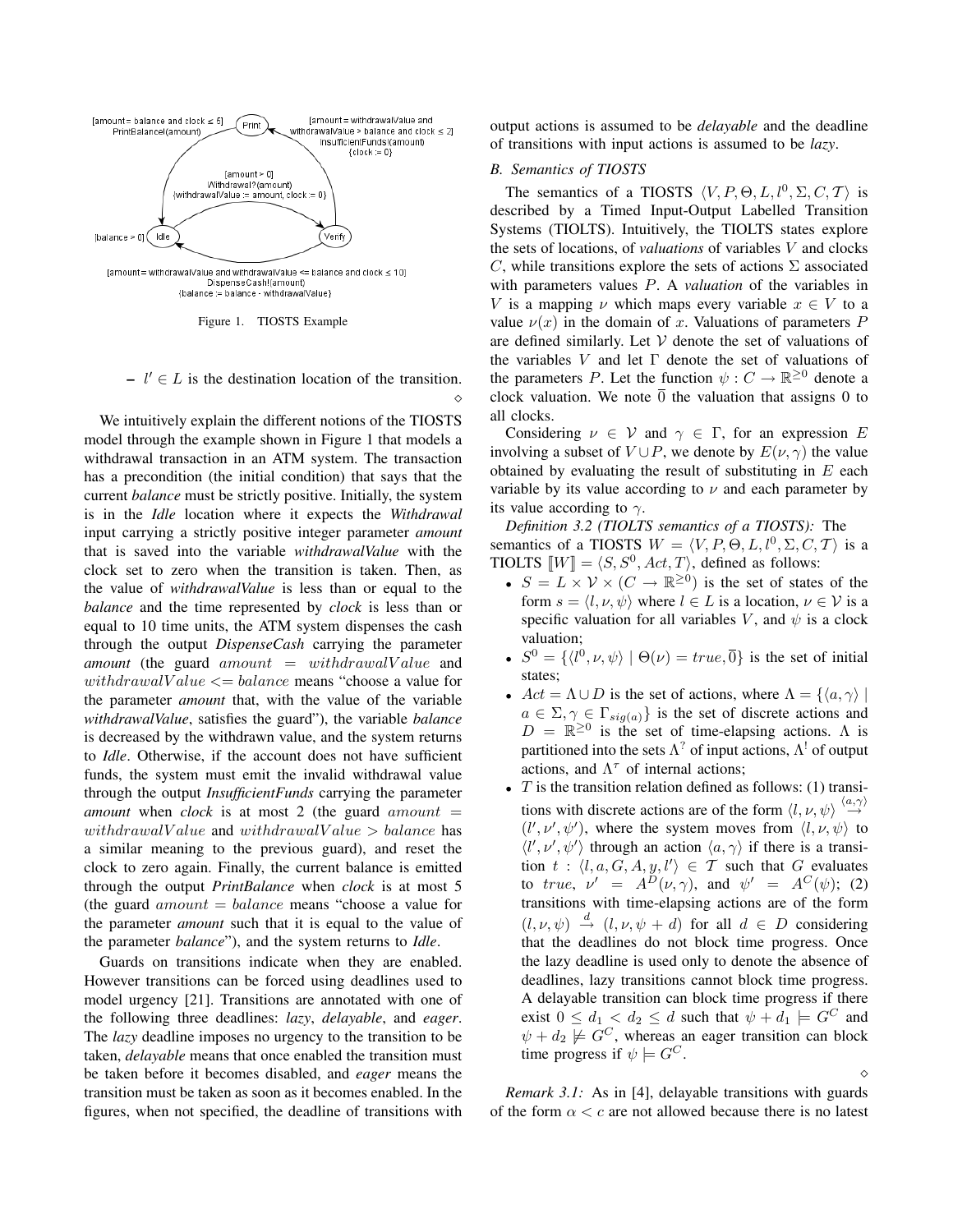

Figure 1. TIOSTS Example

 $-l' \in L$  is the destination location of the transition.  $\Diamond$ 

We intuitively explain the different notions of the TIOSTS model through the example shown in Figure 1 that models a withdrawal transaction in an ATM system. The transaction has a precondition (the initial condition) that says that the current *balance* must be strictly positive. Initially, the system is in the *Idle* location where it expects the *Withdrawal* input carrying a strictly positive integer parameter *amount* that is saved into the variable *withdrawalValue* with the clock set to zero when the transition is taken. Then, as the value of *withdrawalValue* is less than or equal to the *balance* and the time represented by *clock* is less than or equal to 10 time units, the ATM system dispenses the cash through the output *DispenseCash* carrying the parameter *amount* (the guard  $amount = withdrawalValue$  and withdrawalValue  $\leq$  balance means "choose a value for the parameter *amount* that, with the value of the variable *withdrawalValue*, satisfies the guard"), the variable *balance* is decreased by the withdrawn value, and the system returns to *Idle*. Otherwise, if the account does not have sufficient funds, the system must emit the invalid withdrawal value through the output *InsufficientFunds* carrying the parameter *amount* when *clock* is at most 2 (the guard *amount*  $=$ withdrawalValue and withdrawalValue  $>$  balance has a similar meaning to the previous guard), and reset the clock to zero again. Finally, the current balance is emitted through the output *PrintBalance* when *clock* is at most 5 (the guard  $amount = balance$  means "choose a value for the parameter *amount* such that it is equal to the value of the parameter *balance*"), and the system returns to *Idle*.

Guards on transitions indicate when they are enabled. However transitions can be forced using deadlines used to model urgency [21]. Transitions are annotated with one of the following three deadlines: *lazy*, *delayable*, and *eager*. The *lazy* deadline imposes no urgency to the transition to be taken, *delayable* means that once enabled the transition must be taken before it becomes disabled, and *eager* means the transition must be taken as soon as it becomes enabled. In the figures, when not specified, the deadline of transitions with output actions is assumed to be *delayable* and the deadline of transitions with input actions is assumed to be *lazy*.

# *B. Semantics of TIOSTS*

The semantics of a TIOSTS  $\langle V, P, \Theta, L, l^0, \Sigma, C, T \rangle$  is described by a Timed Input-Output Labelled Transition Systems (TIOLTS). Intuitively, the TIOLTS states explore the sets of locations, of *valuations* of variables V and clocks C, while transitions explore the sets of actions  $\Sigma$  associated with parameters values P. A *valuation* of the variables in V is a mapping  $\nu$  which maps every variable  $x \in V$  to a value  $\nu(x)$  in the domain of x. Valuations of parameters P are defined similarly. Let  $V$  denote the set of valuations of the variables  $V$  and let  $\Gamma$  denote the set of valuations of the parameters P. Let the function  $\psi : C \to \mathbb{R}^{\geq 0}$  denote a clock valuation. We note  $\overline{0}$  the valuation that assigns 0 to all clocks.

Considering  $\nu \in V$  and  $\gamma \in \Gamma$ , for an expression E involving a subset of  $V \cup P$ , we denote by  $E(\nu, \gamma)$  the value obtained by evaluating the result of substituting in  $E$  each variable by its value according to  $\nu$  and each parameter by its value according to  $\gamma$ .

*Definition 3.2 (TIOLTS semantics of a TIOSTS):* The semantics of a TIOSTS  $W = \langle V, P, \Theta, L, l^0, \Sigma, C, T \rangle$  is a TIOLTS  $[[W] = \langle S, S^0, Act, T \rangle$ , defined as follows:

- $S = L \times V \times (C \to \mathbb{R}^{\geq 0})$  is the set of states of the form  $s = \langle l, \nu, \psi \rangle$  where  $l \in L$  is a location,  $\nu \in V$  is a specific valuation for all variables V, and  $\psi$  is a clock valuation;
- $S^0 = \{ \langle l^0, \nu, \psi \rangle \mid \Theta(\nu) = true, \overline{0} \}$  is the set of initial states;
- $Act = \Lambda \cup D$  is the set of actions, where  $\Lambda = \{ \langle a, \gamma \rangle \mid$  $a \in \Sigma, \gamma \in \Gamma_{sig(a)}\}$  is the set of discrete actions and  $D = \mathbb{R}^{\geq 0}$  is the set of time-elapsing actions. A is partitioned into the sets  $\Lambda$ <sup>?</sup> of input actions,  $\Lambda$ <sup>!</sup> of output actions, and  $\Lambda^{\tau}$  of internal actions;
- $T$  is the transition relation defined as follows: (1) transitions with discrete actions are of the form  $\langle l, \nu, \psi \rangle \stackrel{\langle a, \gamma \rangle}{\rightarrow}$  $(l', \nu', \psi')$ , where the system moves from  $\langle l, \nu, \psi \rangle$  to  $\langle l', \nu', \psi' \rangle$  through an action  $\langle a, \gamma \rangle$  if there is a transition  $t : \langle l, a, G, A, y, l' \rangle \in \mathcal{T}$  such that G evaluates to true,  $\nu' = A^D(\nu, \gamma)$ , and  $\psi' = A^C(\psi)$ ; (2) transitions with time-elapsing actions are of the form  $(l, \nu, \psi) \stackrel{d}{\rightarrow} (l, \nu, \psi + d)$  for all  $d \in D$  considering that the deadlines do not block time progress. Once the lazy deadline is used only to denote the absence of deadlines, lazy transitions cannot block time progress. A delayable transition can block time progress if there exist  $0 \leq d_1 < d_2 \leq d$  such that  $\psi + d_1 \models G^C$  and  $\psi + d_2 \not\models G^C$ , whereas an eager transition can block time progress if  $\psi \models G^C$ .

 $\Diamond$ 

*Remark 3.1:* As in [4], delayable transitions with guards of the form  $\alpha < c$  are not allowed because there is no latest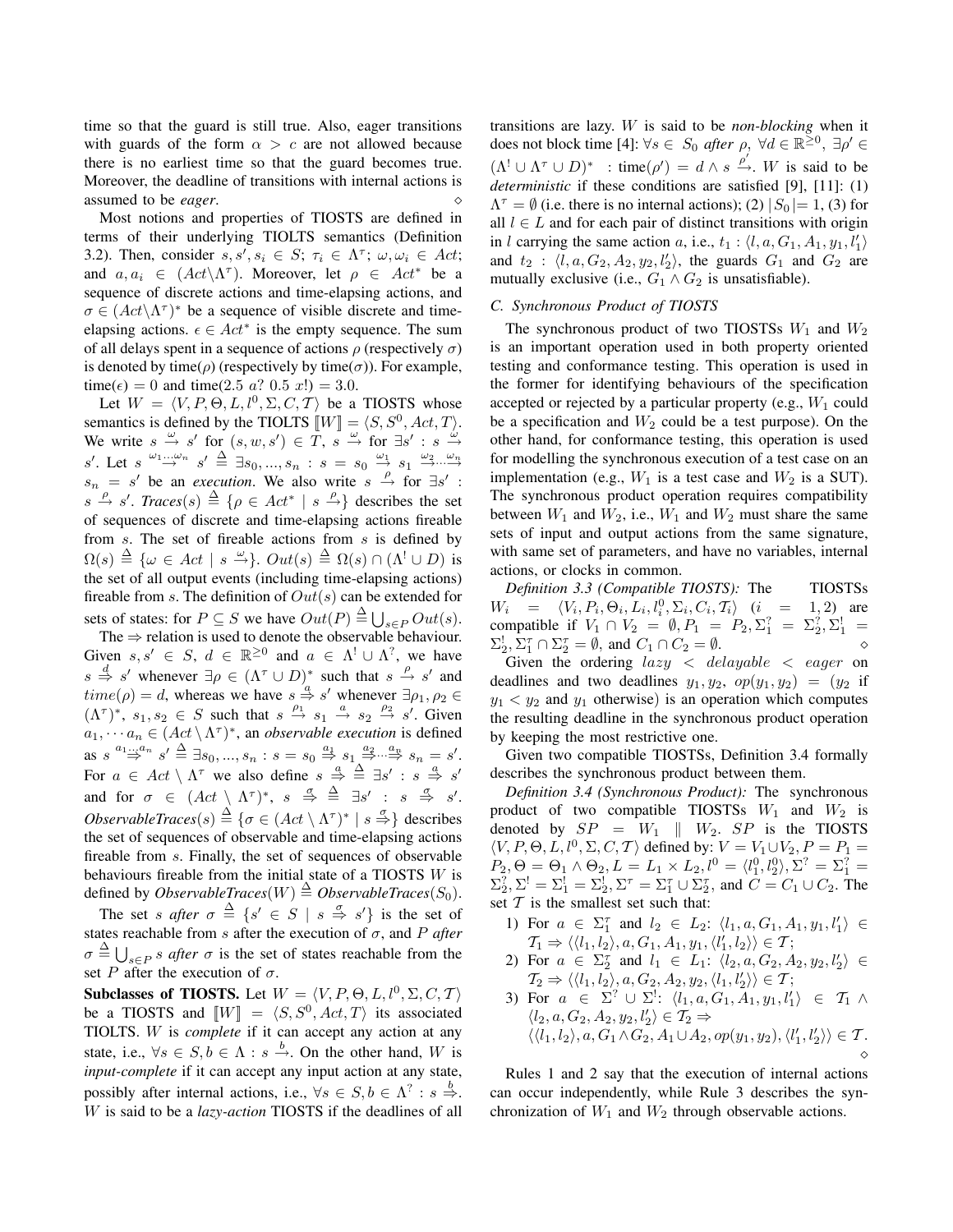time so that the guard is still true. Also, eager transitions with guards of the form  $\alpha > c$  are not allowed because there is no earliest time so that the guard becomes true. Moreover, the deadline of transitions with internal actions is assumed to be *eager*.

Most notions and properties of TIOSTS are defined in terms of their underlying TIOLTS semantics (Definition 3.2). Then, consider  $s, s', s_i \in S; \tau_i \in \Lambda^{\tau}; \omega, \omega_i \in Act;$ and  $a, a_i \in (Act \setminus \Lambda^{\tau})$ . Moreover, let  $\rho \in Act^*$  be a sequence of discrete actions and time-elapsing actions, and  $\sigma \in (Act \setminus \Lambda^{\tau})^*$  be a sequence of visible discrete and timeelapsing actions.  $\epsilon \in Act^*$  is the empty sequence. The sum of all delays spent in a sequence of actions  $\rho$  (respectively  $\sigma$ ) is denoted by time( $\rho$ ) (respectively by time( $\sigma$ )). For example, time( $\epsilon$ ) = 0 and time(2.5 a? 0.5 x!) = 3.0.

Let  $W = \langle V, P, \Theta, L, l^0, \Sigma, C, T \rangle$  be a TIOSTS whose semantics is defined by the TIOLTS  $[[W]] = \langle S, S^0, Act, T \rangle$ . We write  $s \stackrel{\omega}{\rightarrow} s'$  for  $(s, w, s') \in \overline{T}$ ,  $s \stackrel{\omega}{\rightarrow}$  for  $\exists s' : s \stackrel{\omega}{\rightarrow}$ s'. Let  $s \stackrel{\omega_1...\omega_n}{\rightarrow} s' \stackrel{\Delta}{=} \exists s_0,...,s_n : s = s_0 \stackrel{\omega_1}{\rightarrow} s_1 \stackrel{\omega_2}{\rightarrow} \stackrel{\omega_n}{\rightarrow}$  $s_n = s'$  be an *execution*. We also write  $s \stackrel{\rho}{\rightarrow}$  for  $\exists s'$ :  $s \stackrel{\rho}{\rightarrow} s'$ . *Traces* $(s) \stackrel{\Delta}{=} \{ \rho \in Act^* \mid s \stackrel{\rho}{\rightarrow} \}$  describes the set of sequences of discrete and time-elapsing actions fireable from s. The set of fireable actions from s is defined by  $\Omega(s) \triangleq {\omega \in Act \mid s \stackrel{\omega}{\rightarrow}}$ .  $Out(s) \triangleq \Omega(s) \cap (\Lambda^! \cup D)$  is the set of all output events (including time-elapsing actions) fireable from s. The definition of  $Out(s)$  can be extended for sets of states: for  $P \subseteq S$  we have  $Out(P) \triangleq \bigcup_{s \in P} Out(s)$ .

The  $\Rightarrow$  relation is used to denote the observable behaviour. Given  $s, s' \in S$ ,  $d \in \mathbb{R}^{\geq 0}$  and  $a \in \Lambda^! \cup \Lambda^?$ , we have  $s \stackrel{d}{\Rightarrow} s'$  whenever  $\exists \rho \in (\Lambda^{\tau} \cup D)^*$  such that  $s \stackrel{\rho}{\rightarrow} s'$  and  $time(\rho) = d$ , whereas we have  $s \stackrel{a}{\Rightarrow} s'$  whenever  $\exists \rho_1, \rho_2 \in$  $(\Lambda^{\tau})^*$ ,  $s_1, s_2 \in S$  such that  $s \stackrel{\rho_1}{\rightarrow} s_1 \stackrel{a}{\rightarrow} s_2 \stackrel{\rho_2}{\rightarrow} s'$ . Given  $a_1, \dots, a_n \in (Act \setminus \Lambda^{\tau})^*$ , an *observable execution* is defined as  $s \stackrel{a_1...a_n}{\Rightarrow} s' \stackrel{\Delta}{=} \exists s_0, ..., s_n : s = s_0 \stackrel{a_1}{\Rightarrow} s_1 \stackrel{a_2}{\Rightarrow} \stackrel{a_n}{\Rightarrow} s_n = s'.$ For  $a \in Act \setminus \Lambda^{\tau}$  we also define  $s \stackrel{a}{\Rightarrow} \stackrel{\Delta}{=} \exists s' : s \stackrel{a}{\Rightarrow} s'$ and for  $\sigma \in (Act \setminus \Lambda^{\tau})^*, s \stackrel{\sigma}{\Rightarrow} \stackrel{\Delta}{=} \exists s' : s \stackrel{\sigma}{\Rightarrow} s'.$ *ObservableTraces*(s)  $\stackrel{\Delta}{=} \{ \sigma \in (Act \setminus \Lambda^{\tau})^* \mid s \stackrel{\sigma}{\Rightarrow} \}$  describes the set of sequences of observable and time-elapsing actions fireable from s. Finally, the set of sequences of observable behaviours fireable from the initial state of a TIOSTS W is defined by  $\textit{ObservableTraces}(W) \overset{\Delta}{=} \textit{ObservableTraces}(S_0).$ 

The set s after  $\sigma \triangleq \{s' \in S \mid s \stackrel{\sigma}{\Rightarrow} s'\}$  is the set of states reachable from s after the execution of  $\sigma$ , and P *after*  $\sigma \triangleq \bigcup_{s \in P} s$  *after*  $\sigma$  is the set of states reachable from the set P after the execution of  $\sigma$ .

Subclasses of TIOSTS. Let  $W = \langle V, P, \Theta, L, l^0, \Sigma, C, T \rangle$ be a TIOSTS and  $[[W]] = \langle S, S^0, Act, T \rangle$  its associated TIOLTS. W is *complete* if it can accept any action at any state, i.e.,  $\forall s \in S, b \in \Lambda : s \stackrel{b}{\rightarrow}$ . On the other hand, W is *input-complete* if it can accept any input action at any state, possibly after internal actions, i.e.,  $\forall s \in S, b \in \Lambda^? : s \stackrel{b}{\Rightarrow}$ . W is said to be a *lazy-action* TIOSTS if the deadlines of all transitions are lazy. W is said to be *non-blocking* when it does not block time [4]:  $\forall s \in S_0$  *after*  $\rho$ ,  $\forall d \in \mathbb{R}^{\geq 0}$ ,  $\exists \rho' \in S_0$  $(\Lambda^! \cup \Lambda^{\tau} \cup D)^*$  : time $(\rho') = d \wedge s \stackrel{\rho'}{\rightarrow} W$  is said to be *deterministic* if these conditions are satisfied [9], [11]: (1)  $\Lambda^{\tau} = \emptyset$  (i.e. there is no internal actions); (2)  $|S_0| = 1$ , (3) for all  $l \in L$  and for each pair of distinct transitions with origin in l carrying the same action a, i.e.,  $t_1$  :  $\langle l, a, G_1, A_1, y_1, l'_1 \rangle$ and  $t_2$ :  $\langle l, a, G_2, A_2, y_2, l'_2 \rangle$ , the guards  $G_1$  and  $G_2$  are mutually exclusive (i.e.,  $G_1 \wedge G_2$  is unsatisfiable).

#### *C. Synchronous Product of TIOSTS*

The synchronous product of two TIOSTSs  $W_1$  and  $W_2$ is an important operation used in both property oriented testing and conformance testing. This operation is used in the former for identifying behaviours of the specification accepted or rejected by a particular property (e.g.,  $W_1$  could be a specification and  $W_2$  could be a test purpose). On the other hand, for conformance testing, this operation is used for modelling the synchronous execution of a test case on an implementation (e.g.,  $W_1$  is a test case and  $W_2$  is a SUT). The synchronous product operation requires compatibility between  $W_1$  and  $W_2$ , i.e.,  $W_1$  and  $W_2$  must share the same sets of input and output actions from the same signature, with same set of parameters, and have no variables, internal actions, or clocks in common.

*Definition 3.3 (Compatible TIOSTS):* The TIOSTSs  $W_i = \langle V_i, P_i, \Theta_i, L_i, l_i^0, \Sigma_i, C_i, T_i \rangle$  (i = 1, 2) are compatible if  $V_1 \cap V_2 = \emptyset, P_1 = P_2, \Sigma_1^? = \Sigma_2^? , \Sigma_1^! =$  $\Sigma_2^!$ ,  $\Sigma_1^{\tau} \cap \Sigma_2^{\tau} = \emptyset$ , and  $C_1 \cap C_2 = \emptyset$ .

Given the ordering  $lazy < delayable < eager$  on deadlines and two deadlines  $y_1, y_2, op(y_1, y_2) = (y_2$  if  $y_1 < y_2$  and  $y_1$  otherwise) is an operation which computes the resulting deadline in the synchronous product operation by keeping the most restrictive one.

Given two compatible TIOSTSs, Definition 3.4 formally describes the synchronous product between them.

*Definition 3.4 (Synchronous Product):* The synchronous product of two compatible TIOSTSs  $W_1$  and  $W_2$  is denoted by  $SP = W_1 \parallel W_2$ .  $SP$  is the TIOSTS  $\langle V, P, \Theta, L, l^0, \Sigma, C, T \rangle$  defined by:  $V = V_1 \cup V_2, P = P_1 =$  $P_2, \Theta = \Theta_1 \wedge \Theta_2, L = L_1 \times L_2, l^0 = \langle l_1^0, l_2^0 \rangle, \Sigma^? = \Sigma_1^? =$  $\Sigma_2^?$ ,  $\Sigma^! = \Sigma_1^! = \Sigma_2^!$ ,  $\Sigma^{\tau} = \Sigma_1^{\tau} \cup \Sigma_2^{\tau}$ , and  $C = C_1 \cup C_2$ . The set  $T$  is the smallest set such that:

- 1) For  $a \in \Sigma_1^{\tau}$  and  $l_2 \in L_2$ :  $\langle l_1, a, G_1, A_1, y_1, l'_1 \rangle \in$  $\mathcal{T}_1 \Rightarrow \langle \langle l_1, l_2 \rangle, a, G_1, A_1, y_1, \langle l_1', l_2 \rangle \rangle \in \mathcal{T};$
- 2) For  $a \in \Sigma_2^{\tau}$  and  $l_1 \in L_1$ :  $\langle l_2, a, G_2, A_2, y_2, l'_2 \rangle \in$  $\mathcal{T}_2 \Rightarrow \langle \langle l_1, l_2 \rangle, a, G_2, A_2, y_2, \langle l_1, l'_2 \rangle \rangle \in \mathcal{T};$
- 3) For  $a \in \Sigma^? \cup \Sigma^!$ :  $\langle l_1, a, G_1, A_1, y_1, l'_1 \rangle \in \mathcal{T}_1 \wedge$  $\langle l_2, a, G_2, A_2, y_2, l'_2 \rangle \in \mathcal{T}_2 \Rightarrow$  $\langle \langle l_1, l_2 \rangle, a, G_1 \wedge G_2, A_1 \cup A_2, op(y_1, y_2), \langle l'_1, l'_2 \rangle \rangle \in \mathcal{T}.$ ♦

Rules 1 and 2 say that the execution of internal actions can occur independently, while Rule 3 describes the synchronization of  $W_1$  and  $W_2$  through observable actions.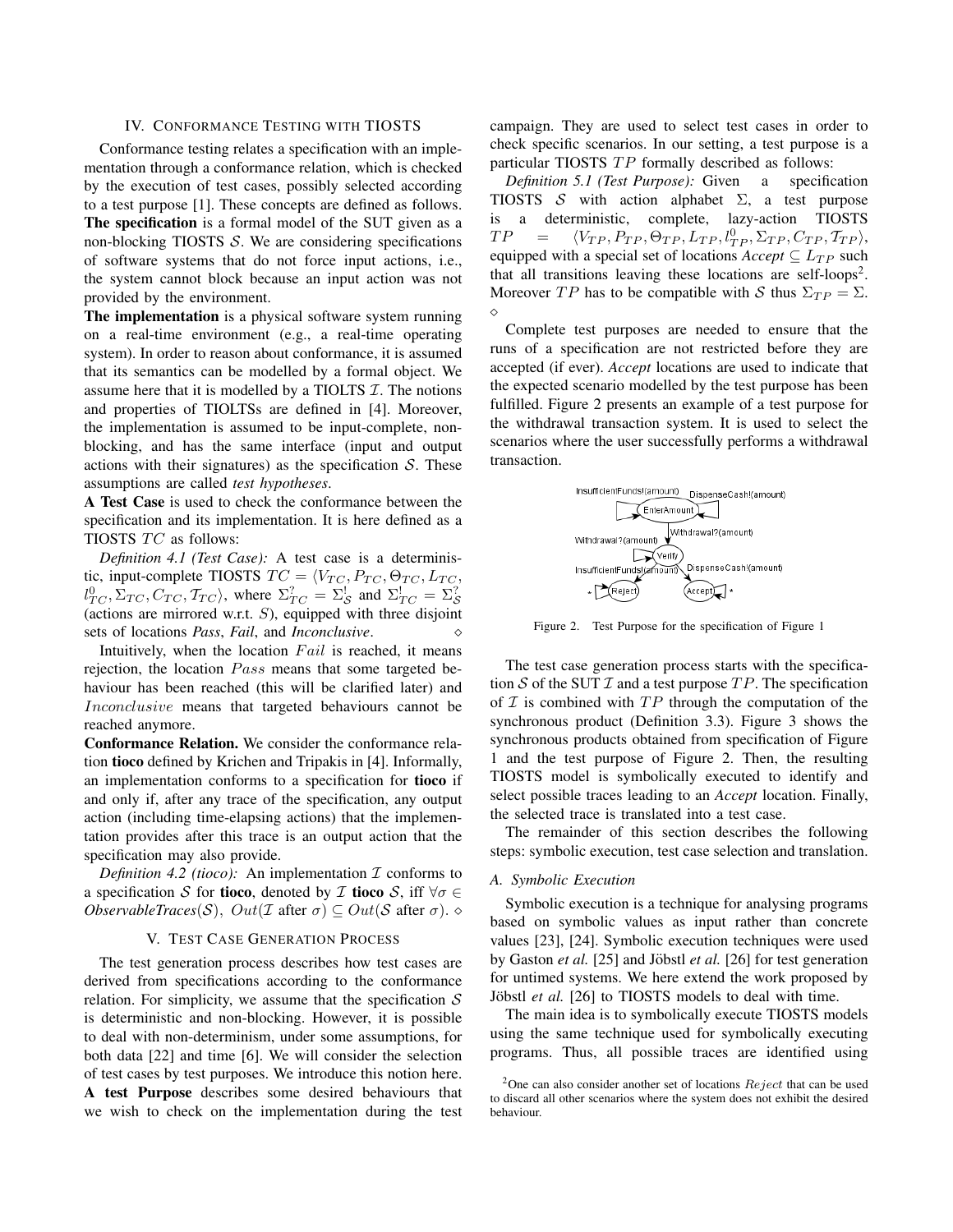## IV. CONFORMANCE TESTING WITH TIOSTS

Conformance testing relates a specification with an implementation through a conformance relation, which is checked by the execution of test cases, possibly selected according to a test purpose [1]. These concepts are defined as follows. The specification is a formal model of the SUT given as a non-blocking TIOSTS  $S$ . We are considering specifications of software systems that do not force input actions, i.e., the system cannot block because an input action was not provided by the environment.

The implementation is a physical software system running on a real-time environment (e.g., a real-time operating system). In order to reason about conformance, it is assumed that its semantics can be modelled by a formal object. We assume here that it is modelled by a TIOLTS  $I$ . The notions and properties of TIOLTSs are defined in [4]. Moreover, the implementation is assumed to be input-complete, nonblocking, and has the same interface (input and output actions with their signatures) as the specification  $S$ . These assumptions are called *test hypotheses*.

A Test Case is used to check the conformance between the specification and its implementation. It is here defined as a TIOSTS  $TC$  as follows:

*Definition 4.1 (Test Case):* A test case is a deterministic, input-complete TIOSTS  $TC = \langle V_{TC}, P_{TC}, \Theta_{TC}, L_{TC},$  $l_{TC}^0$ ,  $\Sigma_{TC}$ ,  $C_{TC}$ ,  $\mathcal{T}_{TC}$ ), where  $\Sigma_{TC}^? = \Sigma_S^!$  and  $\Sigma_{TC}^! = \Sigma_S^?$ (actions are mirrored w.r.t. S), equipped with three disjoint sets of locations *Pass*, *Fail*, and *Inconclusive*.

Intuitively, when the location  $Fall$  is reached, it means rejection, the location  $Pass$  means that some targeted behaviour has been reached (this will be clarified later) and Inconclusive means that targeted behaviours cannot be reached anymore.

Conformance Relation. We consider the conformance relation tioco defined by Krichen and Tripakis in [4]. Informally, an implementation conforms to a specification for tioco if and only if, after any trace of the specification, any output action (including time-elapsing actions) that the implementation provides after this trace is an output action that the specification may also provide.

*Definition 4.2 (tioco):* An implementation  $I$  conforms to a specification S for **tioco**, denoted by I **tioco** S, iff  $\forall \sigma \in$ *ObservableTraces*(S),  $Out(\mathcal{I} \text{ after } \sigma) \subseteq Out(\mathcal{S} \text{ after } \sigma)$ .

#### V. TEST CASE GENERATION PROCESS

The test generation process describes how test cases are derived from specifications according to the conformance relation. For simplicity, we assume that the specification  $S$ is deterministic and non-blocking. However, it is possible to deal with non-determinism, under some assumptions, for both data [22] and time [6]. We will consider the selection of test cases by test purposes. We introduce this notion here. A test Purpose describes some desired behaviours that we wish to check on the implementation during the test campaign. They are used to select test cases in order to check specific scenarios. In our setting, a test purpose is a particular TIOSTS  $TP$  formally described as follows:

*Definition 5.1 (Test Purpose):* Given a specification TIOSTS S with action alphabet  $\Sigma$ , a test purpose is a deterministic, complete, lazy-action TIOSTS  $TP = \langle V_{TP} , P_{TP} , \Theta_{TP} , L_{TP} , l_{TP}^0 , \Sigma_{TP} , C_{TP} , \mathcal{T}_{TP} \rangle,$ equipped with a special set of locations  $Accept \subseteq L_{TP}$  such that all transitions leaving these locations are self-loops<sup>2</sup>. Moreover TP has to be compatible with S thus  $\Sigma_{TP} = \Sigma$ .  $\Diamond$ 

Complete test purposes are needed to ensure that the runs of a specification are not restricted before they are accepted (if ever). *Accept* locations are used to indicate that the expected scenario modelled by the test purpose has been fulfilled. Figure 2 presents an example of a test purpose for the withdrawal transaction system. It is used to select the scenarios where the user successfully performs a withdrawal transaction.



Figure 2. Test Purpose for the specification of Figure 1

The test case generation process starts with the specification S of the SUT  $I$  and a test purpose  $TP$ . The specification of  $I$  is combined with  $TP$  through the computation of the synchronous product (Definition 3.3). Figure 3 shows the synchronous products obtained from specification of Figure 1 and the test purpose of Figure 2. Then, the resulting TIOSTS model is symbolically executed to identify and select possible traces leading to an *Accept* location. Finally, the selected trace is translated into a test case.

The remainder of this section describes the following steps: symbolic execution, test case selection and translation.

#### *A. Symbolic Execution*

Symbolic execution is a technique for analysing programs based on symbolic values as input rather than concrete values [23], [24]. Symbolic execution techniques were used by Gaston *et al.* [25] and Jöbstl *et al.* [26] for test generation for untimed systems. We here extend the work proposed by Jöbstl et al. [26] to TIOSTS models to deal with time.

The main idea is to symbolically execute TIOSTS models using the same technique used for symbolically executing programs. Thus, all possible traces are identified using

<sup>&</sup>lt;sup>2</sup>One can also consider another set of locations  $Reject$  that can be used to discard all other scenarios where the system does not exhibit the desired behaviour.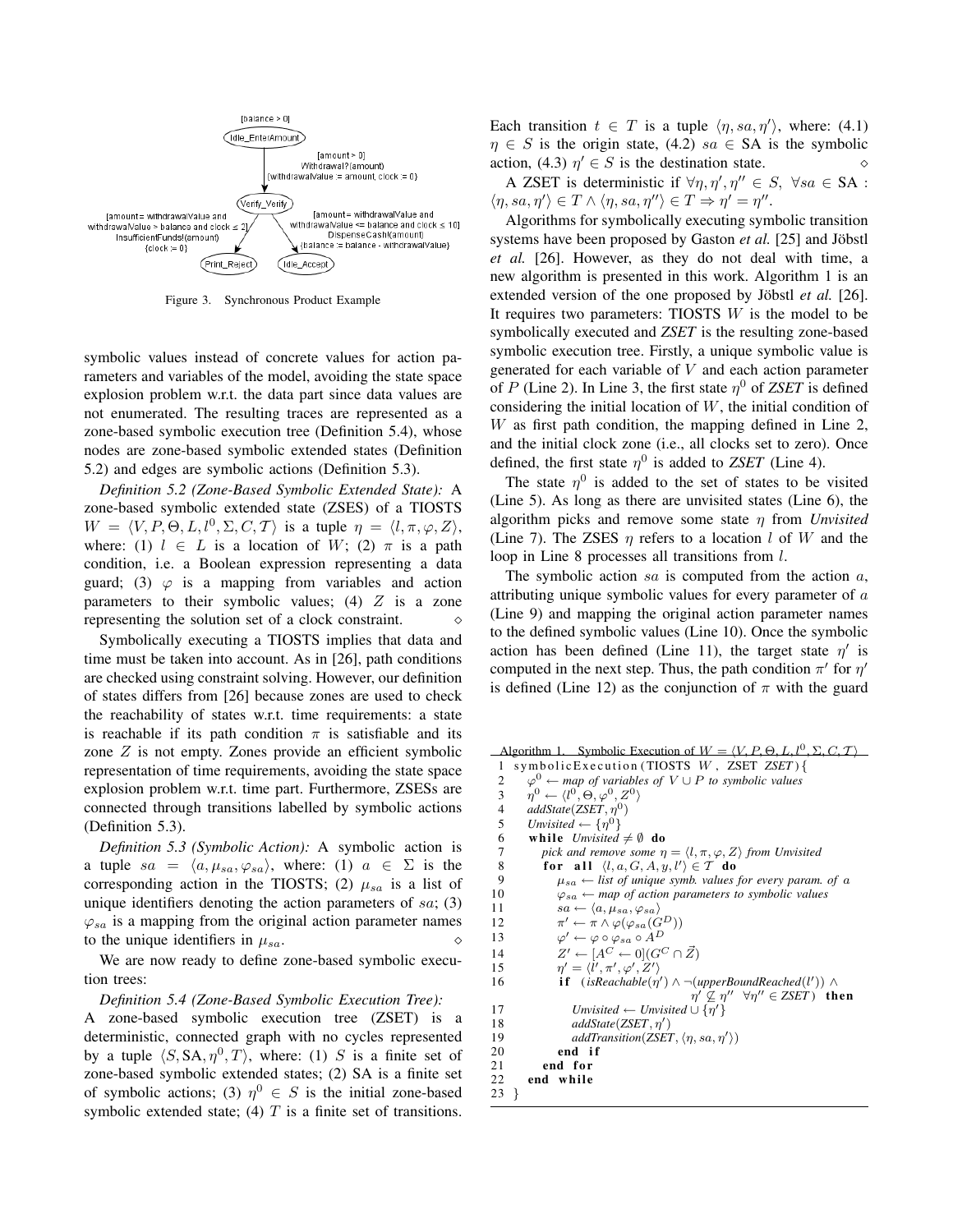

Figure 3. Synchronous Product Example

symbolic values instead of concrete values for action parameters and variables of the model, avoiding the state space explosion problem w.r.t. the data part since data values are not enumerated. The resulting traces are represented as a zone-based symbolic execution tree (Definition 5.4), whose nodes are zone-based symbolic extended states (Definition 5.2) and edges are symbolic actions (Definition 5.3).

*Definition 5.2 (Zone-Based Symbolic Extended State):* A zone-based symbolic extended state (ZSES) of a TIOSTS  $W = \langle V, P, \Theta, L, l^0, \Sigma, C, T \rangle$  is a tuple  $\eta = \langle l, \pi, \varphi, Z \rangle$ , where: (1)  $l \in L$  is a location of W; (2)  $\pi$  is a path condition, i.e. a Boolean expression representing a data guard; (3)  $\varphi$  is a mapping from variables and action parameters to their symbolic values; (4)  $Z$  is a zone representing the solution set of a clock constraint.

Symbolically executing a TIOSTS implies that data and time must be taken into account. As in [26], path conditions are checked using constraint solving. However, our definition of states differs from [26] because zones are used to check the reachability of states w.r.t. time requirements: a state is reachable if its path condition  $\pi$  is satisfiable and its zone Z is not empty. Zones provide an efficient symbolic representation of time requirements, avoiding the state space explosion problem w.r.t. time part. Furthermore, ZSESs are connected through transitions labelled by symbolic actions (Definition 5.3).

*Definition 5.3 (Symbolic Action):* A symbolic action is a tuple  $sa = \langle a, \mu_{sa}, \varphi_{sa} \rangle$ , where: (1)  $a \in \Sigma$  is the corresponding action in the TIOSTS; (2)  $\mu_{sa}$  is a list of unique identifiers denoting the action parameters of  $sa$ ; (3)  $\varphi_{sa}$  is a mapping from the original action parameter names to the unique identifiers in  $\mu_{sa}$ .

We are now ready to define zone-based symbolic execution trees:

#### *Definition 5.4 (Zone-Based Symbolic Execution Tree):*

A zone-based symbolic execution tree (ZSET) is a deterministic, connected graph with no cycles represented by a tuple  $\langle S, SA, \eta^0, T \rangle$ , where: (1) S is a finite set of zone-based symbolic extended states; (2) SA is a finite set of symbolic actions; (3)  $\eta^0 \in S$  is the initial zone-based symbolic extended state; (4)  $T$  is a finite set of transitions.

Each transition  $t \in T$  is a tuple  $\langle \eta, sa, \eta' \rangle$ , where: (4.1)  $\eta \in S$  is the origin state, (4.2) sa  $\in$  SA is the symbolic action, (4.3)  $\eta' \in S$  is the destination state.

A ZSET is deterministic if  $\forall \eta, \eta', \eta'' \in S$ ,  $\forall sa \in SA$ :  $\langle \eta, sa, \eta' \rangle \in T \wedge \langle \eta, sa, \eta'' \rangle \in T \Rightarrow \eta' = \eta''$ .

Algorithms for symbolically executing symbolic transition systems have been proposed by Gaston *et al.* [25] and Jöbstl *et al.* [26]. However, as they do not deal with time, a new algorithm is presented in this work. Algorithm 1 is an extended version of the one proposed by Jöbstl *et al.* [26]. It requires two parameters: TIOSTS  $W$  is the model to be symbolically executed and *ZSET* is the resulting zone-based symbolic execution tree. Firstly, a unique symbolic value is generated for each variable of V and each action parameter of P (Line 2). In Line 3, the first state  $\eta^0$  of *ZSET* is defined considering the initial location of  $W$ , the initial condition of  $W$  as first path condition, the mapping defined in Line 2, and the initial clock zone (i.e., all clocks set to zero). Once defined, the first state  $\eta^0$  is added to *ZSET* (Line 4).

The state  $\eta^0$  is added to the set of states to be visited (Line 5). As long as there are unvisited states (Line 6), the algorithm picks and remove some state η from *Unvisited* (Line 7). The ZSES  $\eta$  refers to a location l of W and the loop in Line 8 processes all transitions from l.

The symbolic action sa is computed from the action  $a$ , attributing unique symbolic values for every parameter of a (Line 9) and mapping the original action parameter names to the defined symbolic values (Line 10). Once the symbolic action has been defined (Line 11), the target state  $\eta'$  is computed in the next step. Thus, the path condition  $\pi'$  for  $\eta'$ is defined (Line 12) as the conjunction of  $\pi$  with the guard

Algorithm 1. Symbolic Execution of  $W = \langle V, P, \Theta, L, l^0, \Sigma, C, T \rangle$ 

```
1 symbolic Execution (TIOSTS W, ZSET ZSET) {
   2 \varphi^0 \leftarrow map of variables of V \cup P to symbolic values
   3 \eta^0 \leftarrow \langle l^0, \Theta, \varphi^0, Z^0 \rangle4 addState(ZSET, \eta^0)5 Unvisited \leftarrow \{\eta^0\}6 while Unvisited \neq \emptyset do
  7 pick and remove some \eta = \langle l, \pi, \varphi, Z \rangle from Unvisited
   8 for all \langle l, a, G, A, y, l' \rangle \in \mathcal{T} do
  9 \mu_{sa} \leftarrow list of unique symb. values for every param. of a
10 \varphi_{sa} \leftarrow map \ of \ action \ parameters \ to \ symbolic \ values<br>11 sa \leftarrow \langle a, \mu_{sa}, \varphi_{sa} \ranglesa \leftarrow \langle a, \mu_{sa}, \varphi_{sa} \rangle1<sub>2</sub>
                  \pi' \leftarrow \pi \wedge \varphi(\varphi_{sa}(G^D))13 \varphi' \leftarrow \varphi \circ \varphi_{sa} \circ A^D14 Z' \leftarrow [A^C \leftarrow 0](G^C \cap \vec{Z})\frac{15}{16}\mathcal{O}'=\langle\overline{l}',\pi',\varphi',\overline{Z}'\rangle,16 if (isReachable(\eta') \wedge \neg (upperBoundReached(l')) \wedge\eta' \nsubseteq \eta'' \ \ \forall \eta'' \in \mathsf{ZSET}) then
 17 Unvisited ← Unvisited \cup \{\overline{\eta'}\}18 addState(ZSET, \eta')19 addTransition(ZSET, \langle \eta, sa, \eta' \rangle)
20 end if
21 end for
22 end while
23 }
```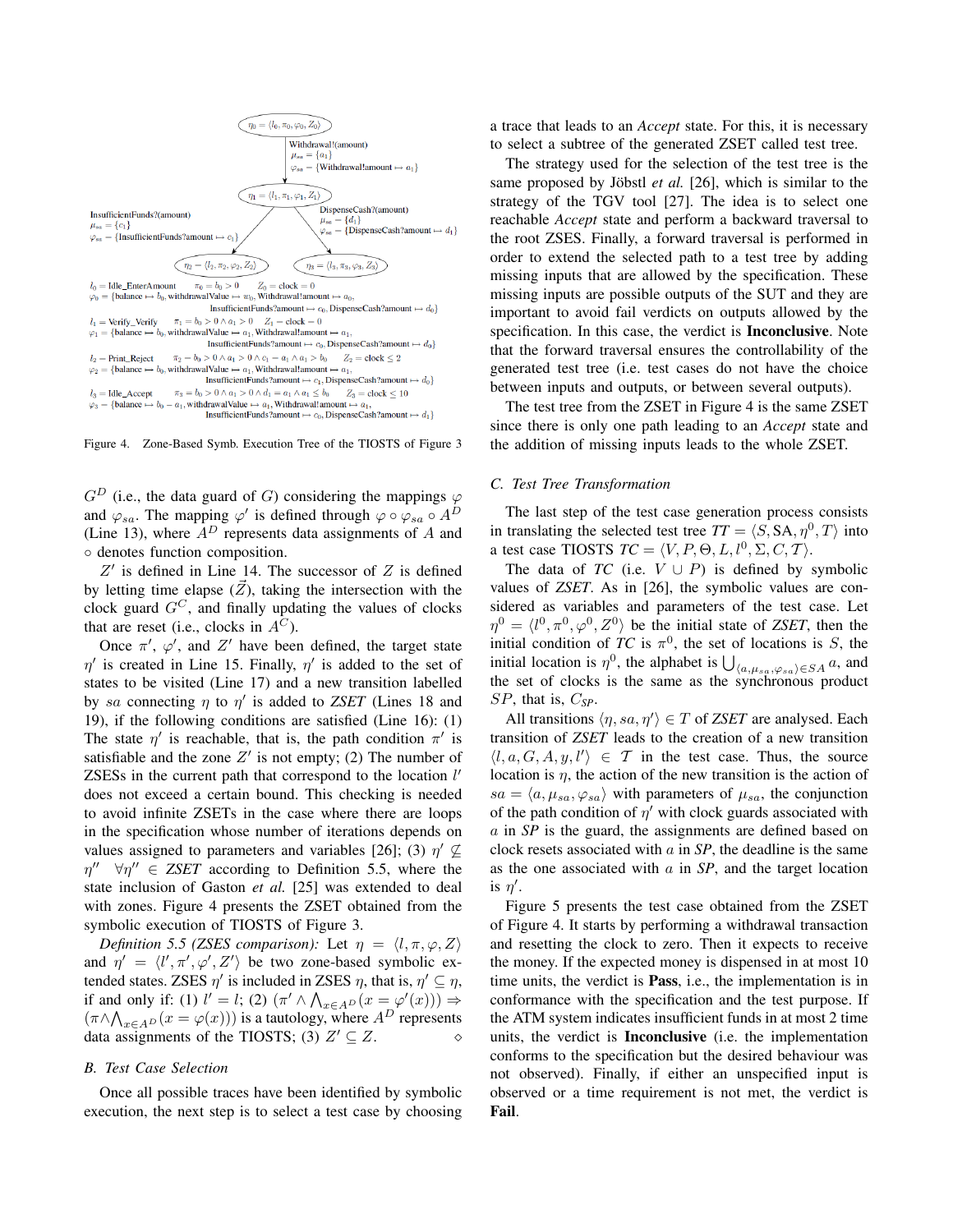

Figure 4. Zone-Based Symb. Execution Tree of the TIOSTS of Figure 3

 $G<sup>D</sup>$  (i.e., the data guard of G) considering the mappings  $\varphi$ and  $\varphi_{sa}$ . The mapping  $\varphi'$  is defined through  $\varphi \circ \varphi_{sa} \circ A^D$ (Line 13), where  $A<sup>D</sup>$  represents data assignments of A and ◦ denotes function composition.

 $Z'$  is defined in Line 14. The successor of  $Z$  is defined by letting time elapse  $(Z)$ , taking the intersection with the clock guard  $G^C$ , and finally updating the values of clocks that are reset (i.e., clocks in  $A^C$ ).

Once  $\pi'$ ,  $\varphi'$ , and  $Z'$  have been defined, the target state  $\eta'$  is created in Line 15. Finally,  $\eta'$  is added to the set of states to be visited (Line 17) and a new transition labelled by sa connecting  $\eta$  to  $\eta'$  is added to *ZSET* (Lines 18 and 19), if the following conditions are satisfied (Line 16): (1) The state  $\eta'$  is reachable, that is, the path condition  $\pi'$  is satisfiable and the zone  $Z'$  is not empty; (2) The number of  $ZSESs$  in the current path that correspond to the location  $l'$ does not exceed a certain bound. This checking is needed to avoid infinite ZSETs in the case where there are loops in the specification whose number of iterations depends on values assigned to parameters and variables [26]; (3)  $\eta' \nsubseteq$  $\eta''$   $\forall \eta'' \in \mathsf{ZSET}$  according to Definition 5.5, where the state inclusion of Gaston *et al.* [25] was extended to deal with zones. Figure 4 presents the ZSET obtained from the symbolic execution of TIOSTS of Figure 3.

*Definition 5.5 (ZSES comparison):* Let  $\eta = \langle l, \pi, \varphi, Z \rangle$ and  $\eta' = \langle l', \pi', \varphi', Z' \rangle$  be two zone-based symbolic extended states. ZSES  $\eta'$  is included in ZSES  $\eta$ , that is,  $\eta' \subseteq \eta$ , if and only if: (1)  $l' = l$ ; (2)  $(\pi' \land \bigwedge_{x \in A^D} (x = \varphi'(x))) \Rightarrow$  $(\pi \wedge \bigwedge_{x \in A^D} (x = \varphi(x)))$  is a tautology, where  $A^D$  represents data assignments of the TIOSTS; (3)  $Z' \subseteq Z$ .

## *B. Test Case Selection*

Once all possible traces have been identified by symbolic execution, the next step is to select a test case by choosing a trace that leads to an *Accept* state. For this, it is necessary to select a subtree of the generated ZSET called test tree.

The strategy used for the selection of the test tree is the same proposed by Jöbstl *et al.* [26], which is similar to the strategy of the TGV tool [27]. The idea is to select one reachable *Accept* state and perform a backward traversal to the root ZSES. Finally, a forward traversal is performed in order to extend the selected path to a test tree by adding missing inputs that are allowed by the specification. These missing inputs are possible outputs of the SUT and they are important to avoid fail verdicts on outputs allowed by the specification. In this case, the verdict is **Inconclusive**. Note that the forward traversal ensures the controllability of the generated test tree (i.e. test cases do not have the choice between inputs and outputs, or between several outputs).

The test tree from the ZSET in Figure 4 is the same ZSET since there is only one path leading to an *Accept* state and the addition of missing inputs leads to the whole ZSET.

#### *C. Test Tree Transformation*

The last step of the test case generation process consists in translating the selected test tree  $TT = \langle S, SA, \eta^0, T \rangle$  into a test case TIOSTS  $TC = \langle V, P, \Theta, L, l^0, \Sigma, C, T \rangle$ .

The data of *TC* (i.e.  $V \cup P$ ) is defined by symbolic values of *ZSET*. As in [26], the symbolic values are considered as variables and parameters of the test case. Let  $\eta^0 = \langle l^0, \pi^0, \varphi^0, Z^0 \rangle$  be the initial state of *ZSET*, then the initial condition of *TC* is  $\pi^0$ , the set of locations is *S*, the initial location is  $\eta^0$ , the alphabet is  $\bigcup_{\langle a,\mu_{sa},\varphi_{sa}\rangle\in SA} a$ , and the set of clocks is the same as the synchronous product SP, that is,  $C_{SP}$ .

All transitions  $\langle \eta, sa, \eta' \rangle \in T$  of *ZSET* are analysed. Each transition of *ZSET* leads to the creation of a new transition  $\langle l, a, G, A, y, l' \rangle \in \mathcal{T}$  in the test case. Thus, the source location is  $\eta$ , the action of the new transition is the action of  $sa = \langle a, \mu_{sa}, \varphi_{sa} \rangle$  with parameters of  $\mu_{sa}$ , the conjunction of the path condition of  $\eta'$  with clock guards associated with a in *SP* is the guard, the assignments are defined based on clock resets associated with a in *SP*, the deadline is the same as the one associated with a in *SP*, and the target location is  $\eta'$ .

Figure 5 presents the test case obtained from the ZSET of Figure 4. It starts by performing a withdrawal transaction and resetting the clock to zero. Then it expects to receive the money. If the expected money is dispensed in at most 10 time units, the verdict is Pass, i.e., the implementation is in conformance with the specification and the test purpose. If the ATM system indicates insufficient funds in at most 2 time units, the verdict is Inconclusive (i.e. the implementation conforms to the specification but the desired behaviour was not observed). Finally, if either an unspecified input is observed or a time requirement is not met, the verdict is Fail.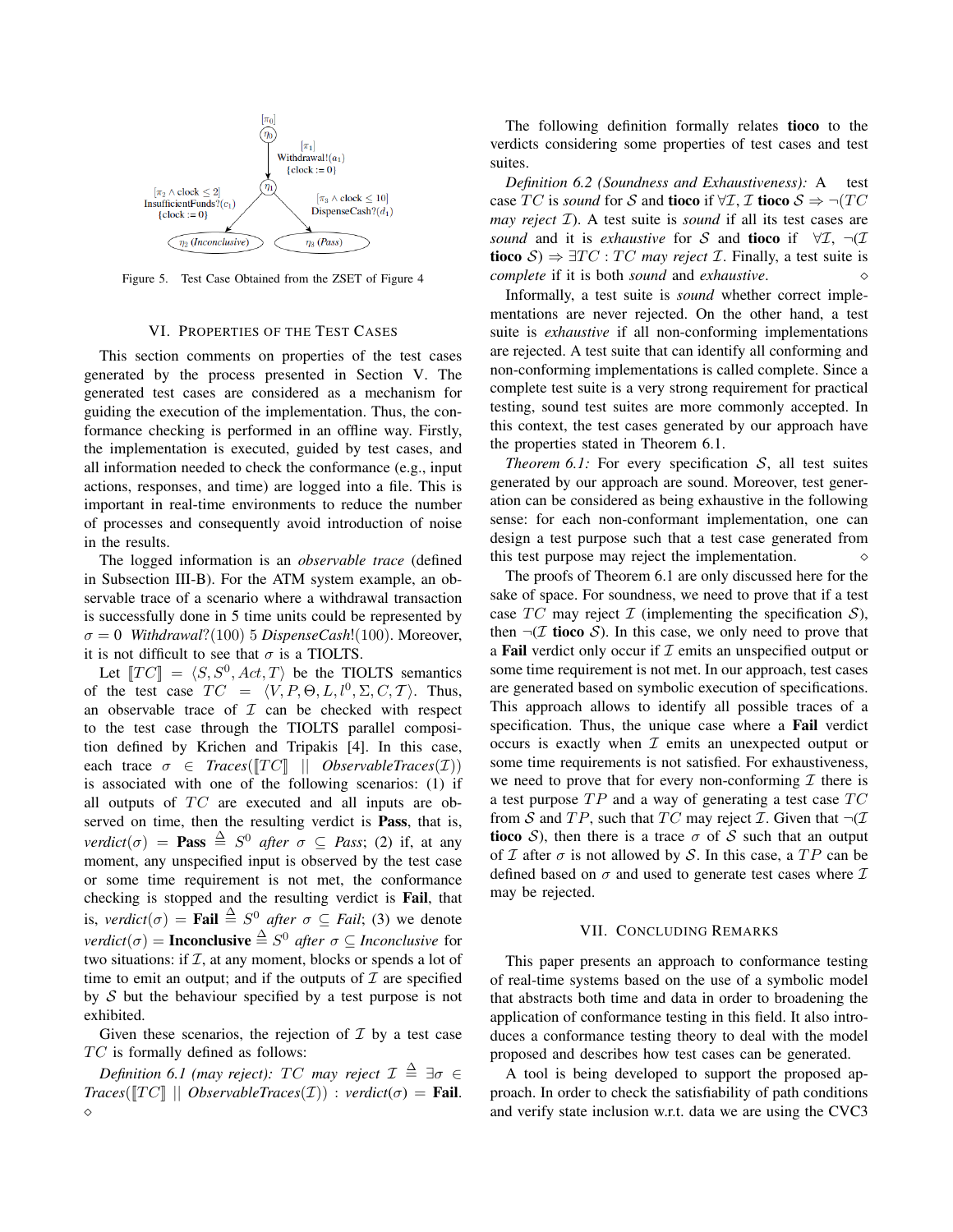

Figure 5. Test Case Obtained from the ZSET of Figure 4

#### VI. PROPERTIES OF THE TEST CASES

This section comments on properties of the test cases generated by the process presented in Section V. The generated test cases are considered as a mechanism for guiding the execution of the implementation. Thus, the conformance checking is performed in an offline way. Firstly, the implementation is executed, guided by test cases, and all information needed to check the conformance (e.g., input actions, responses, and time) are logged into a file. This is important in real-time environments to reduce the number of processes and consequently avoid introduction of noise in the results.

The logged information is an *observable trace* (defined in Subsection III-B). For the ATM system example, an observable trace of a scenario where a withdrawal transaction is successfully done in 5 time units could be represented by  $\sigma = 0$  *Withdrawal*?(100) 5 *DispenseCash*!(100). Moreover, it is not difficult to see that  $\sigma$  is a TIOLTS.

Let  $\llbracket TC \rrbracket = \langle S, S^0, Act, T \rangle$  be the TIOLTS semantics of the test case  $TC = \langle V, P, \Theta, L, l^0, \Sigma, C, T \rangle$ . Thus, an observable trace of  $I$  can be checked with respect to the test case through the TIOLTS parallel composition defined by Krichen and Tripakis [4]. In this case, each trace  $\sigma \in Traces([\![TC]\!] \ | \ ObservableTraces(\![T])$ is associated with one of the following scenarios: (1) if all outputs of  $TC$  are executed and all inputs are observed on time, then the resulting verdict is **Pass**, that is, *verdict*( $\sigma$ ) = **Pass**  $\stackrel{\Delta}{=} S^0$  *after*  $\sigma \subseteq \text{Pass};$  (2) if, at any moment, any unspecified input is observed by the test case or some time requirement is not met, the conformance checking is stopped and the resulting verdict is Fail, that is, *verdict*( $\sigma$ ) = **Fail**  $\stackrel{\Delta}{=} S^0$  *after*  $\sigma \subseteq$  *Fail*; (3) we denote  $\text{verdict}(\sigma) = \text{Inconclusive} \stackrel{\Delta}{=} S^0 \text{ after } \sigma \subseteq \text{Inconclusive for}$ two situations: if  $I$ , at any moment, blocks or spends a lot of time to emit an output; and if the outputs of  $\mathcal I$  are specified by  $S$  but the behaviour specified by a test purpose is not exhibited.

Given these scenarios, the rejection of  $\mathcal I$  by a test case  $TC$  is formally defined as follows:

*Definition 6.1 (may reject):*  $TC$  *may reject*  $\mathcal{I} \triangleq \exists \sigma \in \mathcal{I}$  $Traces(\llbracket TC \rrbracket \parallel ObservableTraces(\mathcal{I})) : verdict(\sigma) = \textbf{Fail}.$  $\Diamond$ 

The following definition formally relates tioco to the verdicts considering some properties of test cases and test suites.

*Definition 6.2 (Soundness and Exhaustiveness):* A test case TC is *sound* for S and **tioco** if  $\forall \mathcal{I}, \mathcal{I}$  **tioco**  $S \Rightarrow \neg (TC)$ *may reject*  $\mathcal{I}$ ). A test suite is *sound* if all its test cases are *sound* and it is *exhaustive* for S and **tioco** if  $\forall \mathcal{I}, \neg \mathcal{I}$ tioco S)  $\Rightarrow \exists TC : TC$  *may reject I*. Finally, a test suite is *complete* if it is both *sound* and *exhaustive*.

Informally, a test suite is *sound* whether correct implementations are never rejected. On the other hand, a test suite is *exhaustive* if all non-conforming implementations are rejected. A test suite that can identify all conforming and non-conforming implementations is called complete. Since a complete test suite is a very strong requirement for practical testing, sound test suites are more commonly accepted. In this context, the test cases generated by our approach have the properties stated in Theorem 6.1.

*Theorem 6.1:* For every specification  $S$ , all test suites generated by our approach are sound. Moreover, test generation can be considered as being exhaustive in the following sense: for each non-conformant implementation, one can design a test purpose such that a test case generated from this test purpose may reject the implementation.

The proofs of Theorem 6.1 are only discussed here for the sake of space. For soundness, we need to prove that if a test case  $TC$  may reject  $I$  (implementing the specification  $S$ ), then  $\neg$ (*I* tioco *S*). In this case, we only need to prove that a Fail verdict only occur if  $\mathcal I$  emits an unspecified output or some time requirement is not met. In our approach, test cases are generated based on symbolic execution of specifications. This approach allows to identify all possible traces of a specification. Thus, the unique case where a Fail verdict occurs is exactly when  $I$  emits an unexpected output or some time requirements is not satisfied. For exhaustiveness, we need to prove that for every non-conforming  $\mathcal I$  there is a test purpose  $TP$  and a way of generating a test case  $TC$ from S and TP, such that TC may reject I. Given that  $\neg$ (I tioco S), then there is a trace  $\sigma$  of S such that an output of  $I$  after  $\sigma$  is not allowed by  $S$ . In this case, a  $TP$  can be defined based on  $\sigma$  and used to generate test cases where  $\mathcal I$ may be rejected.

### VII. CONCLUDING REMARKS

This paper presents an approach to conformance testing of real-time systems based on the use of a symbolic model that abstracts both time and data in order to broadening the application of conformance testing in this field. It also introduces a conformance testing theory to deal with the model proposed and describes how test cases can be generated.

A tool is being developed to support the proposed approach. In order to check the satisfiability of path conditions and verify state inclusion w.r.t. data we are using the CVC3